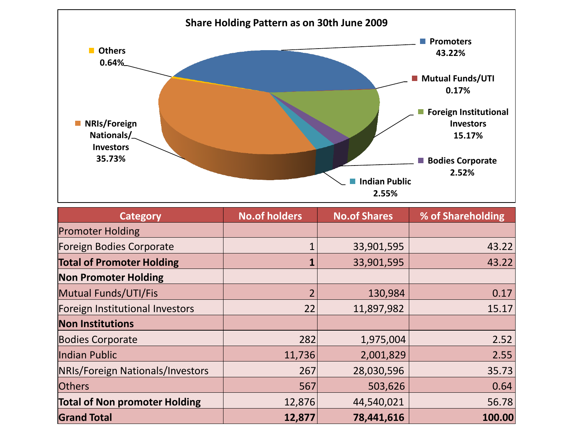

| <b>Category</b>                      | <b>No.of holders</b> | <b>No.of Shares</b> | % of Shareholding |
|--------------------------------------|----------------------|---------------------|-------------------|
| <b>Promoter Holding</b>              |                      |                     |                   |
| <b>Foreign Bodies Corporate</b>      |                      | 33,901,595          | 43.22             |
| <b>Total of Promoter Holding</b>     |                      | 33,901,595          | 43.22             |
| <b>Non Promoter Holding</b>          |                      |                     |                   |
| Mutual Funds/UTI/Fis                 |                      | 130,984             | 0.17              |
| Foreign Institutional Investors      | 22                   | 11,897,982          | 15.17             |
| <b>Non Institutions</b>              |                      |                     |                   |
| <b>Bodies Corporate</b>              | 282                  | 1,975,004           | 2.52              |
| Indian Public                        | 11,736               | 2,001,829           | 2.55              |
| NRIs/Foreign Nationals/Investors     | 267                  | 28,030,596          | 35.73             |
| <b>Others</b>                        | 567                  | 503,626             | 0.64              |
| <b>Total of Non promoter Holding</b> | 12,876               | 44,540,021          | 56.78             |
| <b>Grand Total</b>                   | 12,877               | 78,441,616          | 100.00            |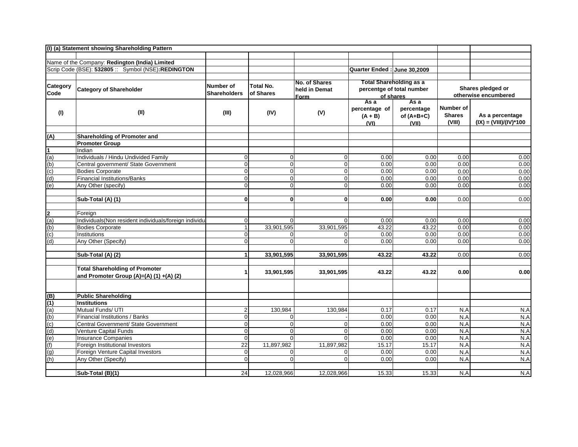|                   | (I) (a) Statement showing Shareholding Pattern                                                       |                     |                  |                |                              |                           |               |                          |
|-------------------|------------------------------------------------------------------------------------------------------|---------------------|------------------|----------------|------------------------------|---------------------------|---------------|--------------------------|
|                   |                                                                                                      |                     |                  |                |                              |                           |               |                          |
|                   | Name of the Company: Redington (India) Limited<br>Scrip Code (BSE): 532805 :: Symbol (NSE):REDINGTON |                     |                  |                |                              |                           |               |                          |
|                   |                                                                                                      |                     |                  |                | Quarter Ended : June 30.2009 |                           |               |                          |
|                   |                                                                                                      |                     |                  | No. of Shares  |                              | Total Shareholding as a   |               |                          |
| <b>Category</b>   | <b>Category of Shareholder</b>                                                                       | Number of           | <b>Total No.</b> | held in Demat  |                              | percentge of total number |               | Shares pledged or        |
| Code              |                                                                                                      | <b>Shareholders</b> | of Shares        | <u>Form</u>    |                              | of shares                 |               | otherwise encumbered     |
|                   |                                                                                                      |                     |                  |                | As a                         | Asa                       |               |                          |
| (1)               | (II)                                                                                                 | (III)               | (IV)             | (V)            | percentage of                | percentage                | Number of     |                          |
|                   |                                                                                                      |                     |                  |                | $(A + B)$                    | of $(A+B+C)$              | <b>Shares</b> | As a percentage          |
|                   |                                                                                                      |                     |                  |                | (VI)                         | (VII)                     | (VIII)        | $(IX) = (VIII)/(IV)*100$ |
| (A)               | Shareholding of Promoter and                                                                         |                     |                  |                |                              |                           |               |                          |
|                   | <b>Promoter Group</b>                                                                                |                     |                  |                |                              |                           |               |                          |
| $\mathbf 1$       | Indian                                                                                               |                     |                  |                |                              |                           |               |                          |
| (a)               | Individuals / Hindu Undivided Family                                                                 | $\overline{0}$      | $\Omega$         | $\pmb{0}$      | 0.00                         | 0.00                      | 0.00          | 0.00                     |
| (b)               | Central government/ State Government                                                                 | $\overline{0}$      | $\Omega$         | $\overline{0}$ | 0.00                         | 0.00                      | 0.00          | 0.00                     |
| (c)               | <b>Bodies Corporate</b>                                                                              | $\overline{0}$      | $\Omega$         | $\mathbf 0$    | 0.00                         | 0.00                      | 0.00          | 0.00                     |
| (d)               | <b>Financial Institutions/Banks</b>                                                                  | $\overline{0}$      | $\Omega$         | $\mathbf 0$    | 0.00                         | 0.00                      | 0.00          | 0.00                     |
| (e)               | Any Other (specify)                                                                                  | $\overline{0}$      | $\Omega$         | $\overline{0}$ | 0.00                         | 0.00                      | 0.00          | 0.00                     |
|                   |                                                                                                      |                     |                  |                |                              |                           |               |                          |
|                   | Sub-Total (A) (1)                                                                                    | $\mathbf{0}$        | 0 <sup>l</sup>   | $\mathbf{0}$   | 0.00                         | 0.00                      | 0.00          | 0.00                     |
|                   | Foreign                                                                                              |                     |                  |                |                              |                           |               |                          |
| $\frac{2}{(a)}$   | Individuals(Non resident individuals/foreign individu-                                               | $\overline{0}$      | $\Omega$         | $\Omega$       | 0.00                         | 0.00                      | 0.00          | 0.00                     |
| (b)               | <b>Bodies Corporate</b>                                                                              | 1                   | 33,901,595       | 33,901,595     | 43.22                        | 43.22                     | 0.00          | 0.00                     |
| (c)               | Institutions                                                                                         | $\overline{0}$      | $\Omega$         | $\mathbf 0$    | 0.00                         | 0.00                      | 0.00          | 0.00                     |
| (d)               | Any Other (Specify)                                                                                  | $\Omega$            | $\Omega$         | $\Omega$       | 0.00                         | 0.00                      | 0.00          | 0.00                     |
|                   | Sub-Total (A) (2)                                                                                    | $\mathbf{1}$        | 33,901,595       | 33,901,595     | 43.22                        | 43.22                     | 0.00          | 0.00                     |
|                   |                                                                                                      |                     |                  |                |                              |                           |               |                          |
|                   | <b>Total Shareholding of Promoter</b>                                                                | 1                   | 33,901,595       | 33,901,595     | 43.22                        | 43.22                     | 0.00          | 0.00                     |
|                   | and Promoter Group (A)=(A) (1) +(A) (2)                                                              |                     |                  |                |                              |                           |               |                          |
|                   |                                                                                                      |                     |                  |                |                              |                           |               |                          |
| (B)               | <b>Public Shareholding</b>                                                                           |                     |                  |                |                              |                           |               |                          |
|                   | <b>Institutions</b>                                                                                  |                     |                  |                |                              |                           |               |                          |
| $\frac{(1)}{(a)}$ | Mutual Funds/ UTI                                                                                    | $\overline{2}$      | 130,984          | 130,984        | 0.17                         | 0.17                      | N.A           | N.A                      |
| (b)               | Financial Institutions / Banks                                                                       | $\Omega$            | $\Omega$         |                | 0.00                         | 0.00                      | N.A           | N.A                      |
| (c)               | Central Government/ State Government                                                                 | $\overline{0}$      | $\Omega$         | $\mathbf 0$    | 0.00                         | 0.00                      | N.A           | N.A                      |
| (d)               | Venture Capital Funds                                                                                | $\mathbf 0$         | $\Omega$         | $\mathbf 0$    | 0.00                         | 0.00                      | N.A           | N.A                      |
| (e)               | <b>Insurance Companies</b>                                                                           | $\Omega$            | $\Omega$         | $\Omega$       | 0.00                         | 0.00                      | N.A           | N.A                      |
| (f)               | Foreign Institutional Investors                                                                      | 22                  | 11,897,982       | 11,897,982     | 15.17                        | 15.17                     | N.A           | N.A                      |
| (g)               | Foreign Venture Capital Investors                                                                    | $\overline{0}$      | $\Omega$         | $\mathbf 0$    | 0.00                         | 0.00                      | N.A           | N.A                      |
| (h)               | Any Other (Specify)                                                                                  | $\overline{0}$      | $\Omega$         | $\Omega$       | 0.00                         | 0.00                      | N.A           | N.A                      |
|                   | Sub-Total (B)(1)                                                                                     | 24                  | 12,028,966       | 12,028,966     | 15.33                        | 15.33                     | N.A           | N.A                      |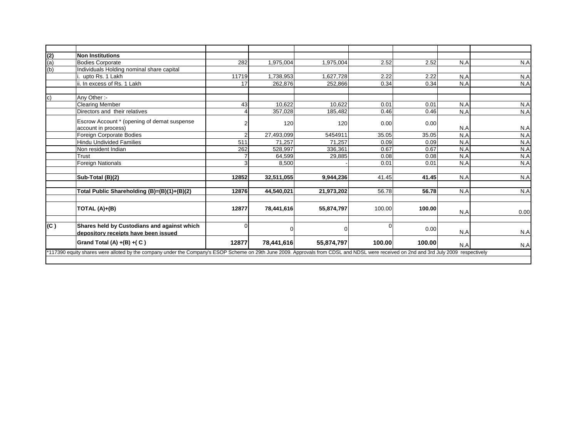| (2)          | Non Institutions                                                                                                                                                                      |          |            |            |        |        |     |      |
|--------------|---------------------------------------------------------------------------------------------------------------------------------------------------------------------------------------|----------|------------|------------|--------|--------|-----|------|
| (a)          | <b>Bodies Corporate</b>                                                                                                                                                               | 282      | 1,975,004  | 1,975,004  | 2.52   | 2.52   | N.A | N.A  |
| (b)          | Individuals Holding nominal share capital                                                                                                                                             |          |            |            |        |        |     |      |
|              | upto Rs. 1 Lakh                                                                                                                                                                       | 11719    | 1,738,953  | 1,627,728  | 2.22   | 2.22   | N.A | N.A  |
|              | ii. In excess of Rs. 1 Lakh                                                                                                                                                           | 17       | 262,876    | 252,866    | 0.34   | 0.34   | N.A | N.A  |
| $\mathsf{c}$ | Any Other:-                                                                                                                                                                           |          |            |            |        |        |     |      |
|              | <b>Clearing Member</b>                                                                                                                                                                | 43       | 10,622     | 10,622     | 0.01   | 0.01   | N.A | N.A  |
|              | Directors and their relatives                                                                                                                                                         |          | 357,028    | 185,482    | 0.46   | 0.46   | N.A | N.A  |
|              | Escrow Account * (opening of demat suspense<br>account in process)                                                                                                                    |          | 120        | 120        | 0.00   | 0.00   | N.A | N.A  |
|              | Foreign Corporate Bodies                                                                                                                                                              |          | 27,493,099 | 5454911    | 35.05  | 35.05  | N.A | N.A  |
|              | <b>Hindu Undivided Families</b>                                                                                                                                                       | 511      | 71.257     | 71.257     | 0.09   | 0.09   | N.A | N.A  |
|              | Non resident Indian                                                                                                                                                                   | 262      | 528,997    | 336.361    | 0.67   | 0.67   | N.A | N.A  |
|              | Trust                                                                                                                                                                                 |          | 64,599     | 29,885     | 0.08   | 0.08   | N.A | N.A  |
|              | Foreign Nationals                                                                                                                                                                     | 3        | 8,500      |            | 0.01   | 0.01   | N.A | N.A  |
|              | Sub-Total (B)(2)                                                                                                                                                                      | 12852    | 32,511,055 | 9,944,236  | 41.45  | 41.45  | N.A | N.A  |
|              | Total Public Shareholding (B)=(B)(1)+(B)(2)                                                                                                                                           | 12876    | 44,540,021 | 21,973,202 | 56.78  | 56.78  | N.A | N.A  |
|              | TOTAL (A)+(B)                                                                                                                                                                         | 12877    | 78,441,616 | 55,874,797 | 100.00 | 100.00 | N.A | 0.00 |
| (C)          | Shares held by Custodians and against which<br>depository receipts have been issued                                                                                                   | $\Omega$ | O          | $\Omega$   |        | 0.00   | N.A | N.A  |
|              | Grand Total (A) $+(B) + (C)$                                                                                                                                                          | 12877    | 78,441,616 | 55,874,797 | 100.00 | 100.00 | N.A | N.A  |
|              | *117390 equity shares were alloted by the company under the Company's ESOP Scheme on 29th June 2009. Approvals from CDSL and NDSL were received on 2nd and 3rd July 2009 respectively |          |            |            |        |        |     |      |